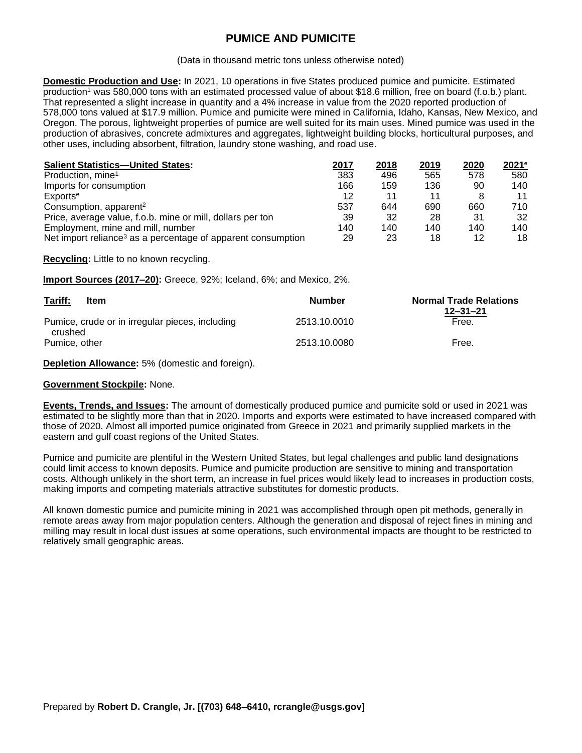# **PUMICE AND PUMICITE**

#### (Data in thousand metric tons unless otherwise noted)

**Domestic Production and Use:** In 2021, 10 operations in five States produced pumice and pumicite. Estimated production<sup>1</sup> was 580,000 tons with an estimated processed value of about \$18.6 million, free on board (f.o.b.) plant. That represented a slight increase in quantity and a 4% increase in value from the 2020 reported production of 578,000 tons valued at \$17.9 million. Pumice and pumicite were mined in California, Idaho, Kansas, New Mexico, and Oregon. The porous, lightweight properties of pumice are well suited for its main uses. Mined pumice was used in the production of abrasives, concrete admixtures and aggregates, lightweight building blocks, horticultural purposes, and other uses, including absorbent, filtration, laundry stone washing, and road use.

| <b>Salient Statistics-United States:</b>                                 | 2017 | 2018 | 2019 | 2020 | 2021e |
|--------------------------------------------------------------------------|------|------|------|------|-------|
| Production, mine <sup>1</sup>                                            | 383  | 496  | 565  | 578  | 580   |
| Imports for consumption                                                  | 166  | 159  | 136  | 90   | 140   |
| Exports <sup>e</sup>                                                     | 12   | 11   | 11   |      | 11    |
| Consumption, apparent <sup>2</sup>                                       | 537  | 644  | 690  | 660  | 710   |
| Price, average value, f.o.b. mine or mill, dollars per ton               | 39   | 32   | 28   | -31  | 32    |
| Employment, mine and mill, number                                        | 140  | 140  | 140  | 140  | 140   |
| Net import reliance <sup>3</sup> as a percentage of apparent consumption | 29   | 23   | 18   | 12   | 18    |

**Recycling:** Little to no known recycling.

**Import Sources (2017–20):** Greece, 92%; Iceland, 6%; and Mexico, 2%.

| Tariff:<br>Item                                            | <b>Number</b> | <b>Normal Trade Relations</b><br>$12 - 31 - 21$ |
|------------------------------------------------------------|---------------|-------------------------------------------------|
| Pumice, crude or in irregular pieces, including<br>crushed | 2513.10.0010  | Free.                                           |
| Pumice, other                                              | 2513.10.0080  | Free.                                           |

**Depletion Allowance:** 5% (domestic and foreign).

### **Government Stockpile:** None.

**Events, Trends, and Issues:** The amount of domestically produced pumice and pumicite sold or used in 2021 was estimated to be slightly more than that in 2020. Imports and exports were estimated to have increased compared with those of 2020. Almost all imported pumice originated from Greece in 2021 and primarily supplied markets in the eastern and gulf coast regions of the United States.

Pumice and pumicite are plentiful in the Western United States, but legal challenges and public land designations could limit access to known deposits. Pumice and pumicite production are sensitive to mining and transportation costs. Although unlikely in the short term, an increase in fuel prices would likely lead to increases in production costs, making imports and competing materials attractive substitutes for domestic products.

All known domestic pumice and pumicite mining in 2021 was accomplished through open pit methods, generally in remote areas away from major population centers. Although the generation and disposal of reject fines in mining and milling may result in local dust issues at some operations, such environmental impacts are thought to be restricted to relatively small geographic areas.